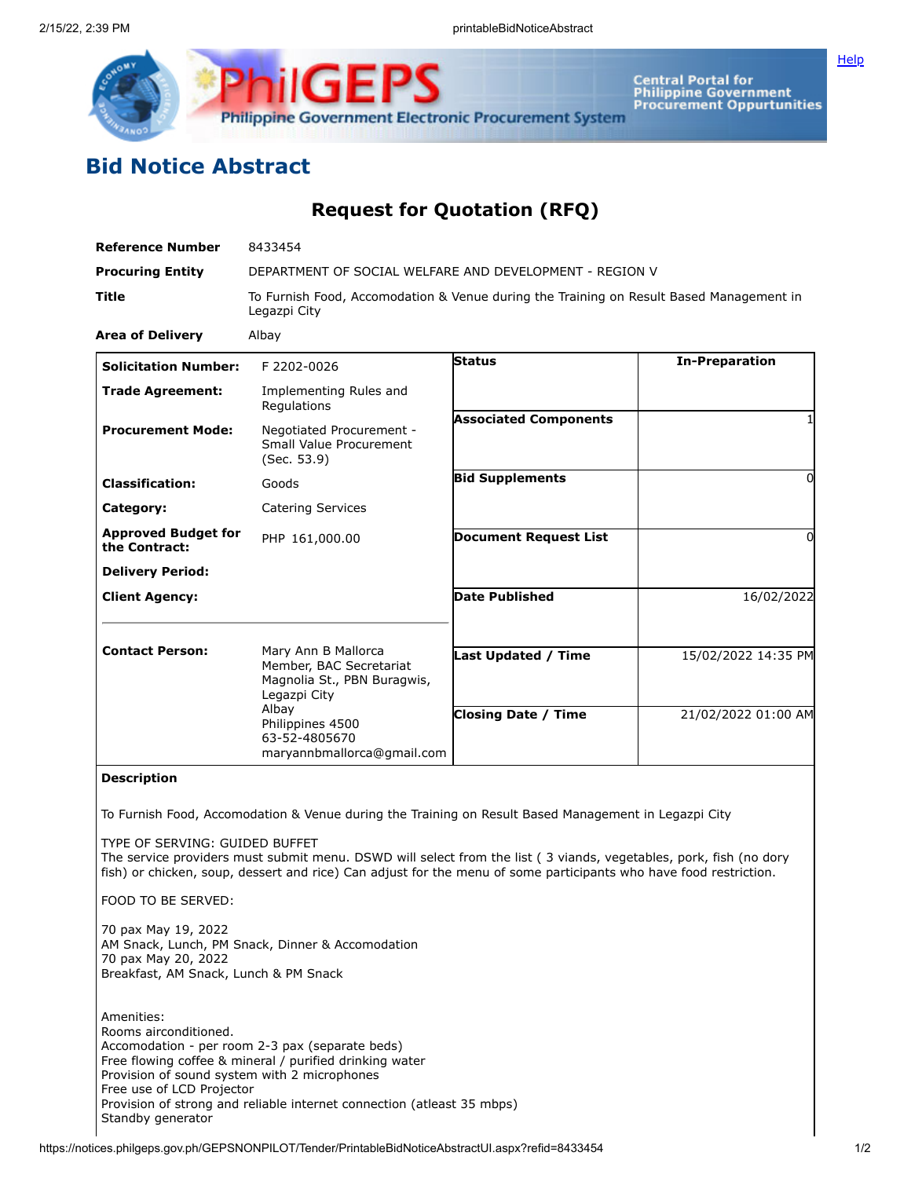

Central Portal for<br>Philippine Government<br>Procurement Oppurtunities

## **Bid Notice Abstract**

## **Request for Quotation (RFQ)**

| <b>Reference Number</b>                                                                                          | 8433454                                                                                                                                                                                                                                |                              |                       |
|------------------------------------------------------------------------------------------------------------------|----------------------------------------------------------------------------------------------------------------------------------------------------------------------------------------------------------------------------------------|------------------------------|-----------------------|
| <b>Procuring Entity</b>                                                                                          | DEPARTMENT OF SOCIAL WELFARE AND DEVELOPMENT - REGION V                                                                                                                                                                                |                              |                       |
| Title                                                                                                            | To Furnish Food, Accomodation & Venue during the Training on Result Based Management in<br>Legazpi City                                                                                                                                |                              |                       |
| <b>Area of Delivery</b>                                                                                          | Albay                                                                                                                                                                                                                                  |                              |                       |
| <b>Solicitation Number:</b>                                                                                      | F 2202-0026                                                                                                                                                                                                                            | <b>Status</b>                | <b>In-Preparation</b> |
| <b>Trade Agreement:</b>                                                                                          | Implementing Rules and<br>Regulations                                                                                                                                                                                                  |                              |                       |
| <b>Procurement Mode:</b>                                                                                         | Negotiated Procurement -<br>Small Value Procurement<br>(Sec. 53.9)                                                                                                                                                                     | <b>Associated Components</b> | 1                     |
| <b>Classification:</b>                                                                                           | Goods                                                                                                                                                                                                                                  | <b>Bid Supplements</b>       | 0                     |
| Category:                                                                                                        | <b>Catering Services</b>                                                                                                                                                                                                               |                              |                       |
| <b>Approved Budget for</b><br>the Contract:                                                                      | PHP 161,000.00                                                                                                                                                                                                                         | <b>Document Request List</b> | $\mathbf{0}$          |
| <b>Delivery Period:</b>                                                                                          |                                                                                                                                                                                                                                        |                              |                       |
| <b>Client Agency:</b>                                                                                            |                                                                                                                                                                                                                                        | <b>Date Published</b>        | 16/02/2022            |
| <b>Contact Person:</b>                                                                                           | Mary Ann B Mallorca<br>Member, BAC Secretariat<br>Magnolia St., PBN Buragwis,<br>Legazpi City                                                                                                                                          | <b>Last Updated / Time</b>   | 15/02/2022 14:35 PM   |
|                                                                                                                  | Albay<br>Philippines 4500<br>63-52-4805670<br>maryannbmallorca@gmail.com                                                                                                                                                               | <b>Closing Date / Time</b>   | 21/02/2022 01:00 AM   |
| <b>Description</b>                                                                                               |                                                                                                                                                                                                                                        |                              |                       |
|                                                                                                                  | To Furnish Food, Accomodation & Venue during the Training on Result Based Management in Legazpi City                                                                                                                                   |                              |                       |
| TYPE OF SERVING: GUIDED BUFFET                                                                                   | The service providers must submit menu. DSWD will select from the list (3 viands, vegetables, pork, fish (no dory<br>fish) or chicken, soup, dessert and rice) Can adjust for the menu of some participants who have food restriction. |                              |                       |
| FOOD TO BE SERVED:                                                                                               |                                                                                                                                                                                                                                        |                              |                       |
| 70 pax May 19, 2022<br>70 pax May 20, 2022<br>Breakfast, AM Snack, Lunch & PM Snack                              | AM Snack, Lunch, PM Snack, Dinner & Accomodation                                                                                                                                                                                       |                              |                       |
| Amenities:<br>Rooms airconditioned.<br>Provision of sound system with 2 microphones<br>Free use of LCD Projector | Accomodation - per room 2-3 pax (separate beds)<br>Free flowing coffee & mineral / purified drinking water<br>Provision of strong and reliable internet connection (atleast 35 mbps)                                                   |                              |                       |

Standby generator